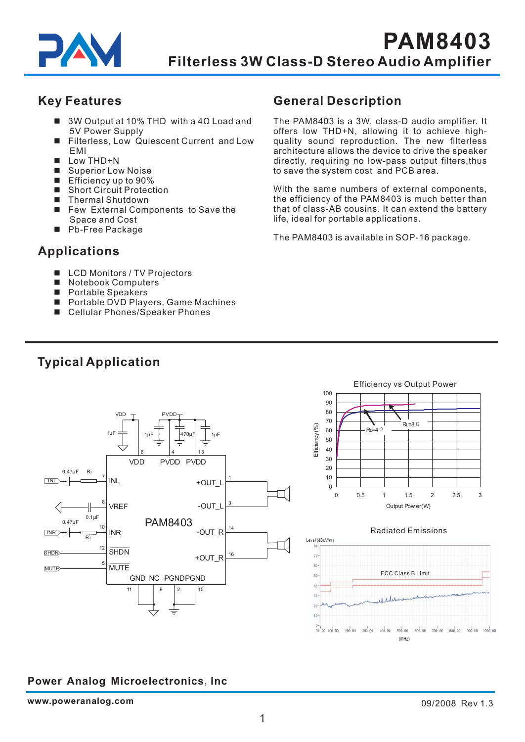

## **Key Features**

- 3W Output at 10% THD with a 4Ω Load and 5V Power Supply
- Filterless, Low Quiescent Current and Low EMI -
- $\blacksquare$  Low THD+N
- Superior Low Noise
- Efficiency up to 90%
- Short Circuit Protection
- Thermal Shutdown
- Few External Components to Save the Space and Cost
- Pb-Free Package

## **Applications**

- LCD Monitors / TV Projectors
- Notebook Computers -
- Portable Speakers
- Portable DVD Players, Game Machines
- Cellular Phones/Speaker Phones

## **General Description**

directly , requiring no low-pass output filters,thus to save the system cost and PCB area. The PAM8403 is a 3W, class-D audio amplifier. It offers low THD+N, allowing it to achieve highquality sound reproduction. The new filterless architecture allows the device to drive the speaker

that of class-AB cousins. It can extend the battery life, ideal for portable applications. With the same numbers of external components, the efficiency of the PAM8403 is much better than

The PAM8403 is available in SOP-16 package.



# **Typical Application**

## **Power Analog Microelectronics, Inc**

 $(MHz)$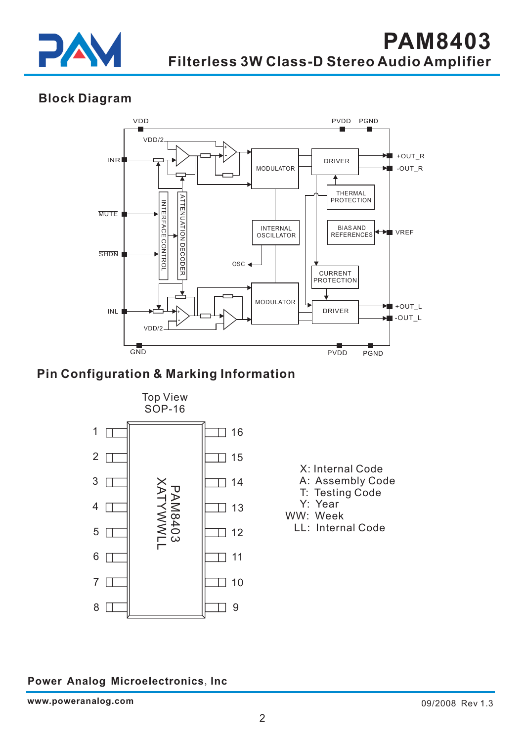

## **Block Diagram**



## **Pin Configuration & Marking Information**

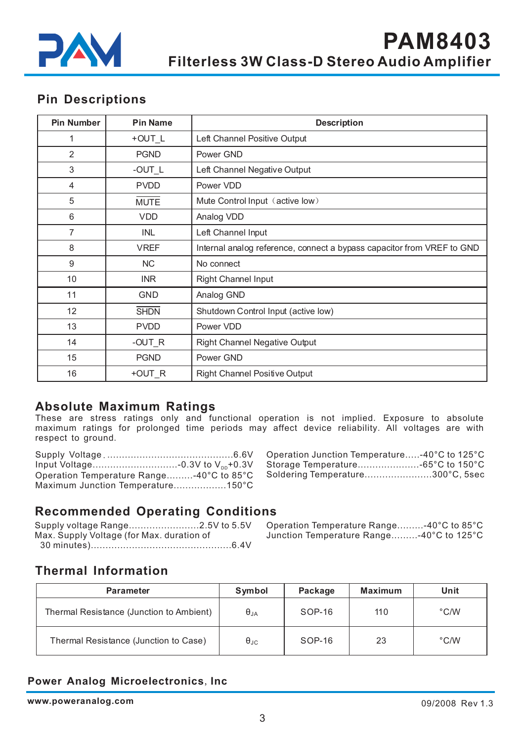

## **Pin Descriptions**

| <b>Pin Number</b> | <b>Pin Name</b> | <b>Description</b>                                                     |
|-------------------|-----------------|------------------------------------------------------------------------|
|                   | $+$ OUT $_L$    | Left Channel Positive Output                                           |
| $\overline{2}$    | <b>PGND</b>     | Power GND                                                              |
| 3                 | $-OUT_L$        | Left Channel Negative Output                                           |
| $\overline{4}$    | <b>PVDD</b>     | Power VDD                                                              |
| 5                 | <b>MUTE</b>     | Mute Control Input (active low)                                        |
| 6                 | <b>VDD</b>      | Analog VDD                                                             |
| 7                 | INL             | Left Channel Input                                                     |
| 8                 | <b>VREF</b>     | Internal analog reference, connect a bypass capacitor from VREF to GND |
| 9                 | <b>NC</b>       | No connect                                                             |
| 10                | <b>INR</b>      | <b>Right Channel Input</b>                                             |
| 11                | GND             | Analog GND                                                             |
| 12                | <b>SHDN</b>     | Shutdown Control Input (active low)                                    |
| 13                | <b>PVDD</b>     | Power VDD                                                              |
| 14                | $-OUT_R$        | <b>Right Channel Negative Output</b>                                   |
| 15                | <b>PGND</b>     | Power GND                                                              |
| 16                | +OUT R          | <b>Right Channel Positive Output</b>                                   |

### **Absolute Maximum Ratings**

These are stress ratings only and functional operation is not implied Exposure to absolute maximum ratings for prolonged time periods may affect device reliability. All voltages are with respect to ground . . .

| Operation Temperature Range-40°C to 85°C |  |
|------------------------------------------|--|
| Maximum Junction Temperature150°C        |  |

|            | $6.6V$ Operation Junction Temperature-40°C to 125°C    |  |
|------------|--------------------------------------------------------|--|
|            | $_{\text{nn}}$ +0.3V Storage Temperature-65°C to 150°C |  |
|            | to 85°C Soldering Temperature300°C, 5sec               |  |
| $\sqrt{2}$ |                                                        |  |

## **Recommended Operating Conditions**

|                                           | Supply voltage Range2.5V to 5.5V Operation Temperature Range-40°C to 85°C |  |
|-------------------------------------------|---------------------------------------------------------------------------|--|
| Max. Supply Voltage (for Max. duration of | Junction Temperature Range-40°C to 125°C                                  |  |
|                                           |                                                                           |  |

Junction Temperature Range………-40°C to 125°C

# **Thermal Information**

| <b>Parameter</b>                         | Symbol               | Package | <b>Maximum</b> | Unit          |
|------------------------------------------|----------------------|---------|----------------|---------------|
| Thermal Resistance (Junction to Ambient) | $\theta_{JA}$        | SOP-16  | 110            | $\degree$ C/W |
| Thermal Resistance (Junction to Case)    | $\theta_{\text{JC}}$ | SOP-16  | 23             | $\degree$ C/W |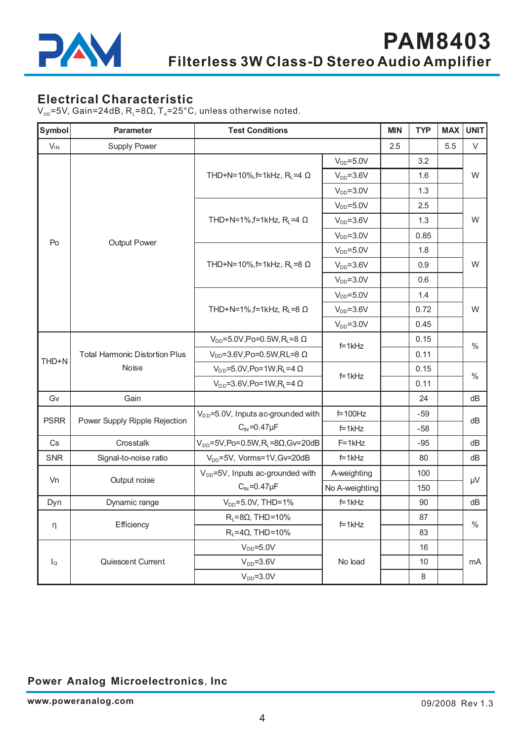

## **Electrical Characteristic**

 $V_{\text{pp}}$ =5V, Gain=24dB, R<sub>L</sub>=8 $\Omega$ , T<sub>A</sub>=25°C, unless otherwise noted.

| Symbol           | Parameter                                             | <b>Test Conditions</b>                                        |                 | <b>MIN</b> | <b>TYP</b> | <b>MAX</b> | <b>UNIT</b> |
|------------------|-------------------------------------------------------|---------------------------------------------------------------|-----------------|------------|------------|------------|-------------|
| $V_{IN}$         | Supply Power                                          |                                                               |                 | 2.5        |            | 5.5        | V           |
|                  |                                                       |                                                               | $V_{DD} = 5.0V$ |            | 3.2        |            | W           |
|                  |                                                       | THD+N=10%, f=1kHz, $R_L$ =4 $\Omega$                          | $V_{DD} = 3.6V$ |            | 1.6        |            |             |
|                  |                                                       |                                                               | $V_{DD} = 3.0V$ |            | 1.3        |            |             |
|                  |                                                       |                                                               | $V_{DD} = 5.0V$ |            | 2.5        |            | W           |
|                  |                                                       | THD+N=1%,f=1kHz, $R_L$ =4 $\Omega$                            | $V_{DD} = 3.6V$ |            | 1.3        |            |             |
|                  |                                                       |                                                               | $V_{DD} = 3.0V$ |            | 0.85       |            |             |
| Po               | Output Power                                          |                                                               | $V_{DD} = 5.0V$ |            | 1.8        |            |             |
|                  |                                                       | THD+N=10%, f=1kHz, R <sub>L</sub> =8 Ω                        | $V_{DD} = 3.6V$ |            | 0.9        |            | W           |
|                  |                                                       |                                                               | $V_{DD} = 3.0V$ |            | 0.6        |            |             |
|                  |                                                       |                                                               | $V_{DD} = 5.0V$ |            | 1.4        |            | W           |
|                  |                                                       | THD+N=1%,f=1kHz, $R_L$ =8 $\Omega$                            | $V_{DD} = 3.6V$ |            | 0.72       |            |             |
|                  |                                                       |                                                               | $V_{DD} = 3.0V$ |            | 0.45       |            |             |
|                  | <b>Total Harmonic Distortion Plus</b><br><b>Noise</b> | $V_{DD} = 5.0V$ , Po=0.5W, R <sub>L</sub> =8 Ω                | $f=1kHz$        |            | 0.15       |            | $\%$        |
| THD+N            |                                                       | $V_{DD} = 3.6V$ , Po=0.5W, RL=8 $\Omega$                      |                 |            | 0.11       |            |             |
|                  |                                                       | $V_{DD}$ =5.0V, Po=1W, R <sub>i</sub> =4 Ω                    |                 |            | 0.15       |            | $\%$        |
|                  |                                                       | $V_{DD} = 3.6 V, Po = 1 W, R_L = 4 \Omega$                    | $f=1kHz$        |            | 0.11       |            |             |
| Gv               | Gain                                                  |                                                               |                 |            | 24         |            | dB          |
| <b>PSRR</b>      | Power Supply Ripple Rejection                         | $V_{DD}$ =5.0V, Inputs ac-grounded with                       | $f=100$ Hz      |            | $-59$      |            | dB          |
|                  |                                                       | $C_{\text{IN}}=0.47\mu F$                                     | $f=1kHz$        |            | $-58$      |            |             |
| Cs               | Crosstalk                                             | $V_{DD} = 5V$ , Po=0.5W, R <sub>L</sub> =8 $\Omega$ , Gv=20dB | $F = 1kHz$      |            | $-95$      |            | dB          |
| <b>SNR</b>       | Signal-to-noise ratio                                 | $V_{DD} = 5V$ , Vorms=1V, Gv=20dB                             | $f=1kHz$        |            | 80         |            | dB          |
| Vn               | Output noise                                          | V <sub>DD</sub> =5V, Inputs ac-grounded with                  | A-weighting     |            | 100        |            | μV          |
|                  |                                                       | $C_{\text{IN}}=0.47\mu F$                                     | No A-weighting  |            | 150        |            |             |
| Dyn              | Dynamic range                                         | $V_{DD} = 5.0V$ , THD=1%                                      | $f=1kHz$        |            | 90         |            | dB          |
| η                |                                                       | $R_L = 8\Omega$ , THD=10%                                     |                 |            | 87         |            | $\%$        |
|                  | Efficiency                                            | $R_1 = 4\Omega$ , THD=10%                                     | $f=1kHz$        |            | 83         |            |             |
|                  |                                                       | $V_{DD} = 5.0V$                                               |                 |            | 16         |            |             |
| $I_{\mathsf{Q}}$ | Quiescent Current                                     | $V_{DD} = 3.6V$                                               | No load         |            | 10         |            | mA          |
|                  |                                                       | $VDD=3.0V$                                                    |                 |            | 8          |            |             |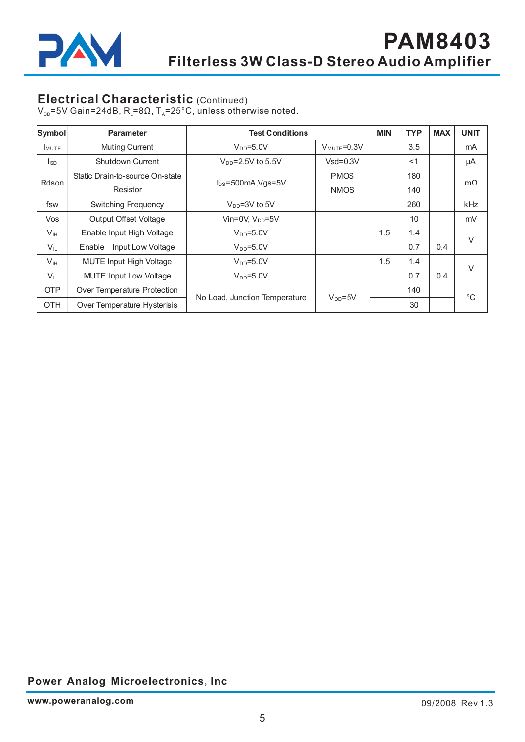

## **Electrical Characteristic** (Continued)

V $_{\text{DD}}$ =5V Gain=24dB, R $_{\text{\tiny L}}$ =8 $\Omega$ , T $_{\text{\tiny A}}$ =25°C, unless otherwise noted.

| <b>Symbol</b>                   | <b>Parameter</b>               | <b>Test Conditions</b>        |                          | <b>MIN</b> | <b>TYP</b> | <b>MAX</b> | <b>UNIT</b>  |
|---------------------------------|--------------------------------|-------------------------------|--------------------------|------------|------------|------------|--------------|
| <b>I</b> MUTE                   | <b>Muting Current</b>          | $V_{DD} = 5.0V$               | $V_{\text{MUTE}} = 0.3V$ |            | 3.5        |            | mA           |
| l <sub>sd</sub>                 | <b>Shutdown Current</b>        | $V_{DD} = 2.5V$ to 5.5V       | $Vsd = 0.3V$             |            | < 1        |            | μA           |
| Static Drain-to-source On-state |                                |                               | <b>PMOS</b>              |            | 180        |            |              |
| Rdson                           | Resistor                       | $I_{DS} = 500$ mA, Vgs=5V     | <b>NMOS</b>              |            | 140        |            | $m\Omega$    |
| fsw                             | <b>Switching Frequency</b>     | $V_{DD} = 3V$ to 5V           |                          |            | 260        |            | kHz          |
| Vos                             | <b>Output Offset Voltage</b>   | Vin=0V, $V_{DD}$ =5V          |                          |            | 10         |            | mV           |
| $V_{\text{IH}}$                 | Enable Input High Voltage      | $V_{DD} = 5.0V$               |                          | 1.5        | 1.4        |            | $\vee$       |
| $V_{IL}$                        | Input Low Voltage<br>Enable    | $V_{DD} = 5.0V$               |                          |            | 0.7        | 0.4        |              |
| $V_{\text{IH}}$                 | <b>MUTE Input High Voltage</b> | $V_{DD} = 5.0V$               |                          | 1.5        | 1.4        |            | V            |
| $V_{IL}$                        | <b>MUTE Input Low Voltage</b>  | $V_{DD} = 5.0V$               |                          |            | 0.7        | 0.4        |              |
| <b>OTP</b>                      | Over Temperature Protection    |                               |                          |            | 140        |            | $^{\circ}$ C |
| <b>OTH</b>                      | Over Temperature Hysterisis    | No Load, Junction Temperature | $V_{DD} = 5V$            |            | 30         |            |              |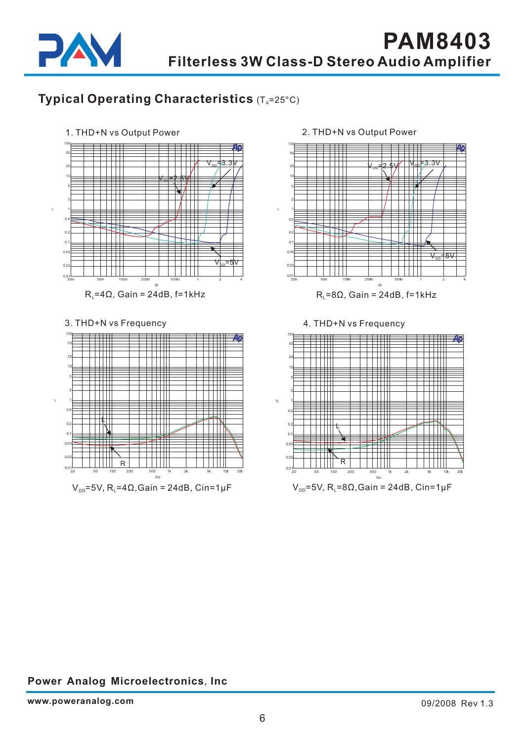

# **Typical Operating Characteristics** (T<sub>A</sub>=25°C)





2. THD+N vs Output Power

 $V_{\text{pp}}$ =5V, R<sub>i</sub>=8 $\Omega$ ,Gain = 24dB, Cin=1µF .<br>Hz

20 50 100 200 500 1k 2k 5k 10k 20k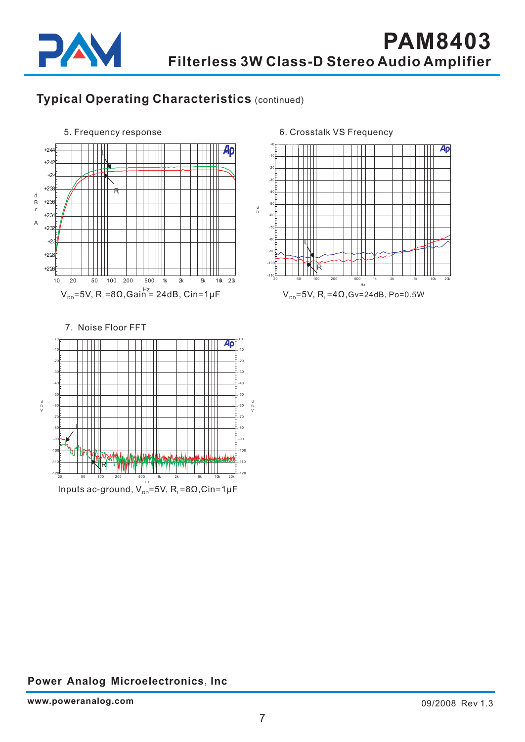

# **Typical Operating Characteristics** (continued)



6. Crosstalk VS Frequency



 $V_{\text{pp}}$ =5V, R<sub>i</sub>=4Ω, Gv=24dB, Po=0.5W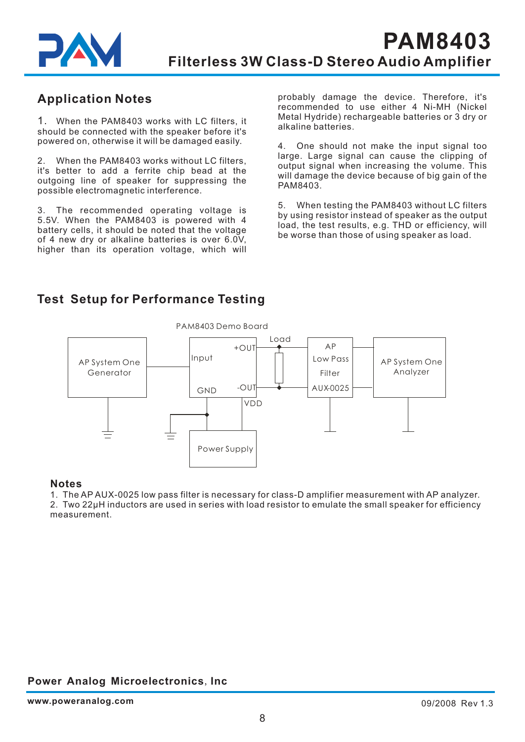

## **Application Notes**

1. When the PAM8403 works with LC filters, it should be connected with the speaker before it's powered on, otherwise it will be damaged easily.

2. When the PAM8403 works without LC filters, it's better to add a ferrite chip bead at the outgoing line of speaker for suppressing the possible electromagnetic interference.

3. The recommended operating voltage is 5.5V. When the PAM8403 is powered with 4 battery cells, it should be noted that the voltage of 4 new dry or alkaline batteries is over 6.0V, higher than its operation voltage, which will probably damage the device. Therefore, it's recommended to use either 4 Ni-MH (Nickel Metal Hydride) rechargeable batteries or 3 dry or alkaline batteries.

4. One should not make the input signal too large. Large signal can cause the clipping of output signal when increasing the volume. This will damage the device b ecause of big gain of the . PAM8403

5. When testing the PAM8403 without LC filters by using resistor instead of speaker as the output load, the test results, e.g. THD or efficiency, will be worse than those of using speaker as load.

## **Test Setup for Performance Testing**



#### **Notes**

1. The AP AUX-0025 low pass filter is necessary for class-D amplifier measurement with AP analyzer. 2. Two 22µH inductors are used in series with load resistor to emulate the small speaker for efficiency measurement.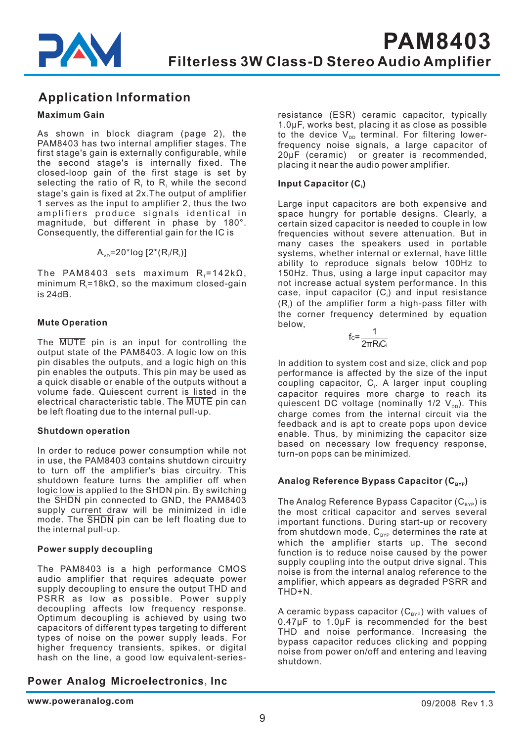

## **Application Information**

#### **Maximum Gain**

As shown in block diagram (page 2), the PAM8403 has two internal amplifier stages. The first stage's gain is externally configurable, while the second stage's is internally fixed. The closed-loop gain of the first stage is set by selecting the ratio of  $\mathsf{R}_{\scriptscriptstyle \mathrm{f}}$  to  $\mathsf{R}_{\scriptscriptstyle \mathrm{i}}$  while the second stage's gain is fixed at 2x.The output of amplifier 1 serves as the input to amplifier 2, thus the two amplifiers produce signals identical in magnitude, but different in phase by 180°. Consequently, the differential gain for the IC is

 $\mathsf{A}_{\mathsf{v}\mathsf{D}}$ =20\*log [2\*(R $_{\mathsf{f}}$ /R $_{\mathsf{i}}$ )]

The PAM8403 sets maximum  $\mathsf{R}_{\mathsf{f}}$ =142k $\Omega,$ minimum R $_i$ =18kΩ, so the maximum closed-gain is 24dB.

#### **Mute Operation**

The MUTE pin is an input for controlling the output state of the PAM8403. A logic low on this pin disables the outputs, and a logic high on this pin enables the outputs. This pin may be used as a quick disable or enable of the outputs without a volume fade. Quiescent current is listed in the electrical characteristic table. The MUTE pin can be left floating due to the internal pull-up.

#### **Shutdown operation**

In order to reduce power consumption while not in use, the PAM8403 contains shutdown circuitry to turn off the amplifier's bias circuitry. This shutdown feature turns the amplifier off when logic low is applied to the SHDN pin. By switching the SHDN pin connected to GND, the PAM8403 supply current draw will be minimized in idle mode. The SHDN pin can be left floating due to the internal pull-up.

#### **Power supply decoupling**

The PAM8403 is a high performance CMOS audio amplifier that requires adequate power supply decoupling to ensure the output THD and PSRR as low as possible. Power supply decoupling affects low frequency response. Optimum decoupling is achieved by using two capacitors of different types targeting to different types of noise on the power supply leads. For higher frequency transients, spikes, or digital hash on the line, a good low equivalent-series-

### **Power Analog Microelectronics, Inc.**

resistance (ESR) ceramic capacitor, typically 1.0μF, works best, placing it as close as possible to the device  $\mathsf{V}_\mathsf{DD}$  terminal. For filtering lowerfrequency noise signals, a large capacitor of 20μF (ceramic) or greater is recommended, placing it near the audio power amplifier.

#### **Input Capacitor (C ) i**

Large input capacitors are both expensive and space hungry for portable designs. Clearly, a certain sized capacitor is needed to couple in low frequencies without severe attenuation. But in many cases the speakers used in portable systems, whether internal or external, have little ability to reproduce signals below 100Hz to 150Hz. Thus, using a large input capacitor may not increase actual system performance. In this case, input capacitor (C $_{\textrm{\tiny{i}}}$ ) and input resistance  $(\mathsf{R}_\mathsf{i})$  of the amplifier form a high-pass filter with the corner frequency determined by equation below,

$$
fc=\frac{1}{2\pi R_iC_i}
$$

In addition to system cost and size, click and pop performance is affected by the size of the input coupling capacitor, C<sub>i</sub>. A larger input coupling capacitor requires more charge to reach its quiescent DC voltage (nominally 1/2  $\mathsf{V}_{\text{\tiny{DD}}}).$  This charge comes from the internal circuit via the feedback and is apt to create pops upon device enable. Thus, by minimizing the capacitor size based on necessary low frequency response, turn-on pops can be minimized.

#### Analog Reference Bypass Capacitor (C<sub>вүр</sub>)

The Analog Reference Bypass Capacitor (C $_{\texttt{\tiny BYP}}$ ) is the most critical capacitor and serves several important functions. During start-up or recovery from shutdown mode,  $\mathtt{C_{\scriptscriptstyle BYP}}$  determines the rate at which the amplifier starts up. The second function is to reduce noise caused by the power supply coupling into the output drive signal. This noise is from the internal analog reference to the amplifier, which appears as degraded PSRR and THD+N.

A ceramic bypass capacitor ( $\mathsf{C}_{_{\mathsf{BYP}}})$  with values of 0.47μF to 1.0μF is recommended for the best THD and noise performance. Increasing the bypass capacitor reduces clicking and popping noise from power on/off and entering and leaving shutdown.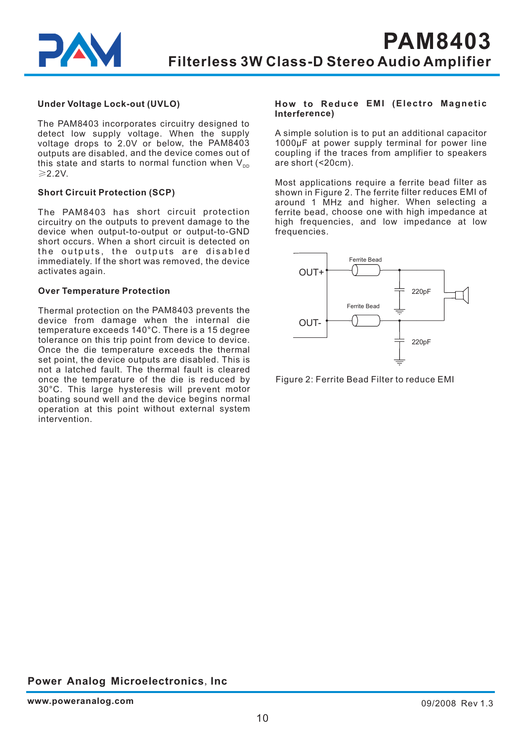

#### **Under Voltage Lock-out (UVLO)**

The PAM8403 incorporates circuitry designed to detect low supply voltage. When the supply voltage drops to 2.0V or below, the PAM8403 outputs are disabled, and the device comes out of this state and starts to normal function when  $\mathsf{V}_{\text{\tiny{DD}}}$ 2.2V. ≥

#### **Short Circuit Protection (SCP)**

The PAM8403 has short circuit protection circuitry on the outputs to prevent damage to the device when output-to-output or output-to-GND short occurs. When a short circuit is detected on the outputs, the outputs are disabled immediately. If the short was removed, the device activates again.

#### **Over Temperature Protection**

Thermal protection on the PAM8403 prevents the device from damage when the internal die temperature exceeds 140°C. There is <sup>a</sup> 15 degree tolerance on this trip point from device to device. Once the die temperature exceeds the thermal set point, the device outputs are disabled. This is not a latched fault. The thermal fault is cleared once the temperature of the die is reduced by 30°C. This large hysteresis will prevent motor boating sound well and the device begins normal operation at this point without external system intervention.

#### **How to Reduce EMI (Electro Magnetic Interference)**

A simple solution is to put an additional capacitor 1000µF at power supply terminal for power line coupling if the traces from amplifier to speakers are short (<20cm).

Most applications require <sup>a</sup> ferrite bead filter as shown in Figure 2. The ferrite filter reduces EMI of around 1 MHz and higher. When selecting <sup>a</sup> ferrite bead, choose one with high impedance at high frequencies, and low impedance at low frequencies.



Figure 2: Ferrite Bead Filter to reduce EMI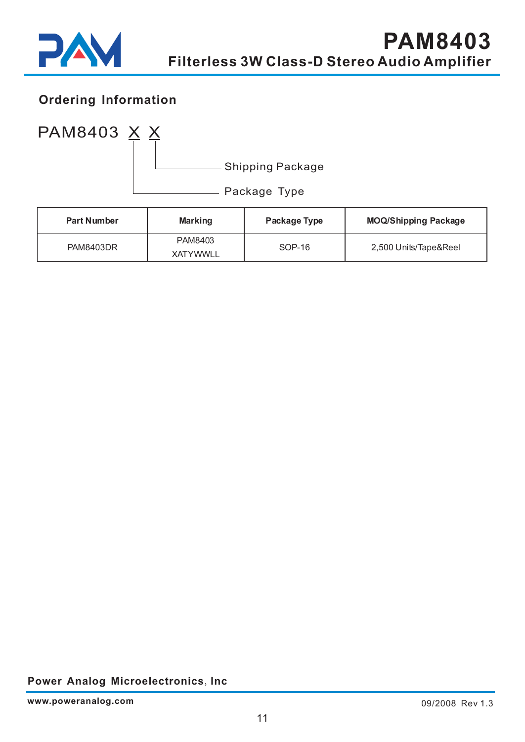

# **Ordering Information**



| <b>Part Number</b> | <b>Marking</b>             | Package Type | <b>MOQ/Shipping Package</b> |
|--------------------|----------------------------|--------------|-----------------------------|
| <b>PAM8403DR</b>   | PAM8403<br><b>XATYWWLL</b> | $SOP-16$     | 2,500 Units/Tape&Reel       |